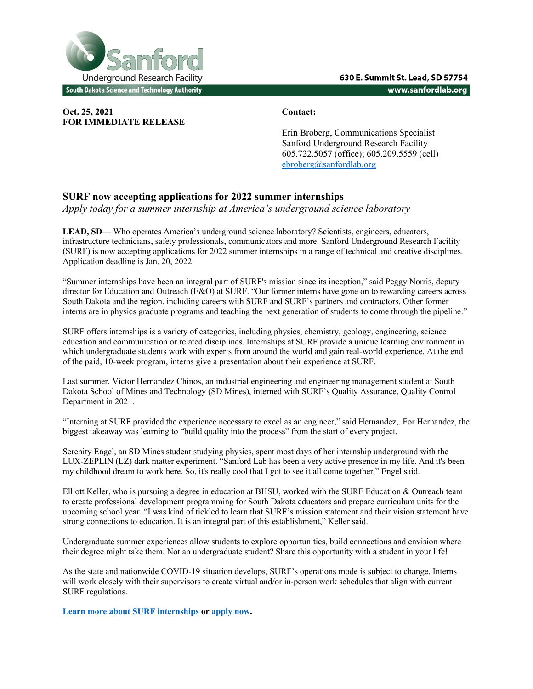

**Oct. 25, 2021 Contact: FOR IMMEDIATE RELEASE**

Erin Broberg, Communications Specialist Sanford Underground Research Facility 605.722.5057 (office); 605.209.5559 (cell) ebroberg@sanfordlab.org

## **SURF now accepting applications for 2022 summer internships**

*Apply today for a summer internship at America's underground science laboratory* 

**LEAD, SD—** Who operates America's underground science laboratory? Scientists, engineers, educators, infrastructure technicians, safety professionals, communicators and more. Sanford Underground Research Facility (SURF) is now accepting applications for 2022 summer internships in a range of technical and creative disciplines. Application deadline is Jan. 20, 2022.

"Summer internships have been an integral part of SURF's mission since its inception," said Peggy Norris, deputy director for Education and Outreach (E&O) at SURF. "Our former interns have gone on to rewarding careers across South Dakota and the region, including careers with SURF and SURF's partners and contractors. Other former interns are in physics graduate programs and teaching the next generation of students to come through the pipeline."

SURF offers internships is a variety of categories, including physics, chemistry, geology, engineering, science education and communication or related disciplines. Internships at SURF provide a unique learning environment in which undergraduate students work with experts from around the world and gain real-world experience. At the end of the paid, 10-week program, interns give a presentation about their experience at SURF.

Last summer, Victor Hernandez Chinos, an industrial engineering and engineering management student at South Dakota School of Mines and Technology (SD Mines), interned with SURF's Quality Assurance, Quality Control Department in 2021.

"Interning at SURF provided the experience necessary to excel as an engineer," said Hernandez,. For Hernandez, the biggest takeaway was learning to "build quality into the process" from the start of every project.

Serenity Engel, an SD Mines student studying physics, spent most days of her internship underground with the LUX-ZEPLIN (LZ) dark matter experiment. "Sanford Lab has been a very active presence in my life. And it's been my childhood dream to work here. So, it's really cool that I got to see it all come together," Engel said.

Elliott Keller, who is pursuing a degree in education at BHSU, worked with the SURF Education & Outreach team to create professional development programming for South Dakota educators and prepare curriculum units for the upcoming school year. "I was kind of tickled to learn that SURF's mission statement and their vision statement have strong connections to education. It is an integral part of this establishment," Keller said.

Undergraduate summer experiences allow students to explore opportunities, build connections and envision where their degree might take them. Not an undergraduate student? Share this opportunity with a student in your life!

As the state and nationwide COVID-19 situation develops, SURF's operations mode is subject to change. Interns will work closely with their supervisors to create virtual and/or in-person work schedules that align with current SURF regulations.

**Learn more about SURF internships or apply now.**